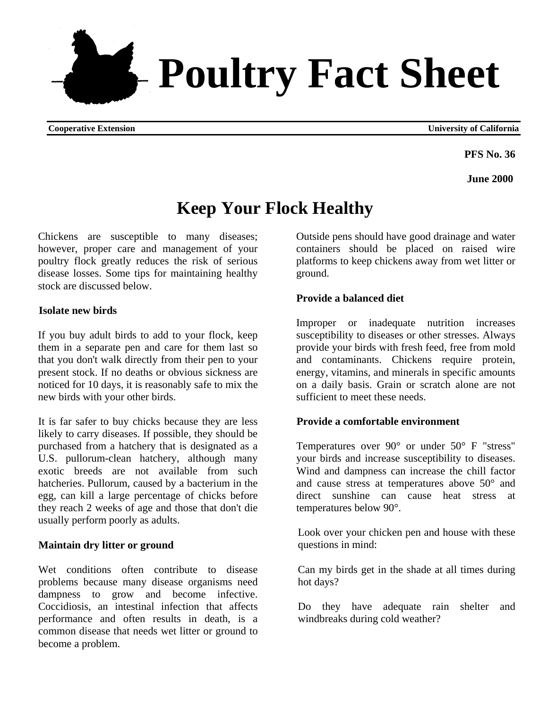**PFS No. 36** 

**June 2000** 

# **Keep Your Flock Healthy**

Chickens are susceptible to many diseases; however, proper care and management of your poultry flock greatly reduces the risk of serious disease losses. Some tips for maintaining healthy stock are discussed below.

# **Isolate new birds**

If you buy adult birds to add to your flock, keep them in a separate pen and care for them last so that you don't walk directly from their pen to your present stock. If no deaths or obvious sickness are noticed for 10 days, it is reasonably safe to mix the new birds with your other birds.

It is far safer to buy chicks because they are less likely to carry diseases. If possible, they should be purchased from a hatchery that is designated as a U.S. pullorum-clean hatchery, although many exotic breeds are not available from such hatcheries. Pullorum, caused by a bacterium in the egg, can kill a large percentage of chicks before they reach 2 weeks of age and those that don't die usually perform poorly as adults.

# **Maintain dry litter or ground**

Wet conditions often contribute to disease problems because many disease organisms need dampness to grow and become infective. Coccidiosis, an intestinal infection that affects performance and often results in death, is a common disease that needs wet litter or ground to become a problem.

Outside pens should have good drainage and water containers should be placed on raised wire platforms to keep chickens away from wet litter or ground.

# **Provide a balanced diet**

Improper or inadequate nutrition increases susceptibility to diseases or other stresses. Always provide your birds with fresh feed, free from mold and contaminants. Chickens require protein, energy, vitamins, and minerals in specific amounts on a daily basis. Grain or scratch alone are not sufficient to meet these needs.

# **Provide a comfortable environment**

Temperatures over 90° or under 50° F "stress" your birds and increase susceptibility to diseases. Wind and dampness can increase the chill factor and cause stress at temperatures above 50° and direct sunshine can cause heat stress at temperatures below 90°.

Look over your chicken pen and house with these questions in mind:

Can my birds get in the shade at all times during hot days?

Do they have adequate rain shelter and windbreaks during cold weather?



**Cooperative Extension University of California**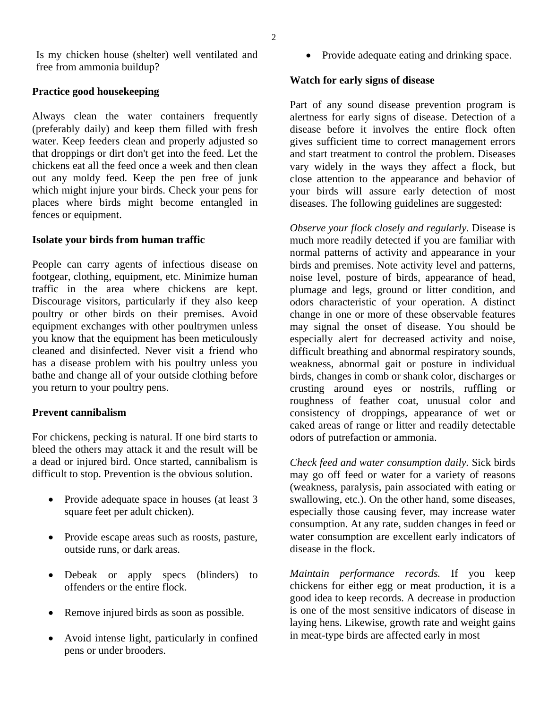Is my chicken house (shelter) well ventilated and free from ammonia buildup?

## **Practice good housekeeping**

Always clean the water containers frequently (preferably daily) and keep them filled with fresh water. Keep feeders clean and properly adjusted so that droppings or dirt don't get into the feed. Let the chickens eat all the feed once a week and then clean out any moldy feed. Keep the pen free of junk which might injure your birds. Check your pens for places where birds might become entangled in fences or equipment.

#### **Isolate your birds from human traffic**

People can carry agents of infectious disease on footgear, clothing, equipment, etc. Minimize human traffic in the area where chickens are kept. Discourage visitors, particularly if they also keep poultry or other birds on their premises. Avoid equipment exchanges with other poultrymen unless you know that the equipment has been meticulously cleaned and disinfected. Never visit a friend who has a disease problem with his poultry unless you bathe and change all of your outside clothing before you return to your poultry pens.

# **Prevent cannibalism**

For chickens, pecking is natural. If one bird starts to bleed the others may attack it and the result will be a dead or injured bird. Once started, cannibalism is difficult to stop. Prevention is the obvious solution.

- Provide adequate space in houses (at least 3) square feet per adult chicken).
- Provide escape areas such as roosts, pasture, outside runs, or dark areas.
- Debeak or apply specs (blinders) to offenders or the entire flock.
- Remove injured birds as soon as possible.
- Avoid intense light, particularly in confined pens or under brooders.

• Provide adequate eating and drinking space.

# **Watch for early signs of disease**

Part of any sound disease prevention program is alertness for early signs of disease. Detection of a disease before it involves the entire flock often gives sufficient time to correct management errors and start treatment to control the problem. Diseases vary widely in the ways they affect a flock, but close attention to the appearance and behavior of your birds will assure early detection of most diseases. The following guidelines are suggested:

*Observe your flock closely and regularly.* Disease is much more readily detected if you are familiar with normal patterns of activity and appearance in your birds and premises. Note activity level and patterns, noise level, posture of birds, appearance of head, plumage and legs, ground or litter condition, and odors characteristic of your operation. A distinct change in one or more of these observable features may signal the onset of disease. You should be especially alert for decreased activity and noise, difficult breathing and abnormal respiratory sounds, weakness, abnormal gait or posture in individual birds, changes in comb or shank color, discharges or crusting around eyes or nostrils, ruffling or roughness of feather coat, unusual color and consistency of droppings, appearance of wet or caked areas of range or litter and readily detectable odors of putrefaction or ammonia.

*Check feed and water consumption daily.* Sick birds may go off feed or water for a variety of reasons (weakness, paralysis, pain associated with eating or swallowing, etc.). On the other hand, some diseases, especially those causing fever, may increase water consumption. At any rate, sudden changes in feed or water consumption are excellent early indicators of disease in the flock.

*Maintain performance records.* If you keep chickens for either egg or meat production, it is a good idea to keep records. A decrease in production is one of the most sensitive indicators of disease in laying hens. Likewise, growth rate and weight gains in meat-type birds are affected early in most